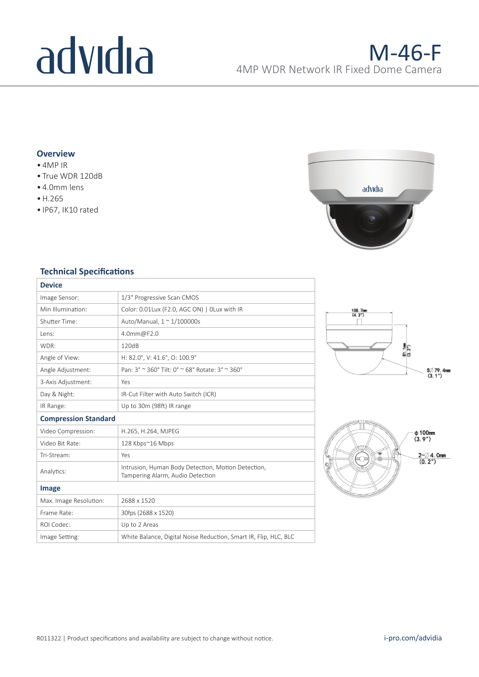# advidia

## **Overview**

- 4MP IR
- True WDR 120dB
- 4.0mm lens
- •H.265
- IP67, IK10 rated



### **Technical Specifications**

| <b>Device</b>               |                                                                                        |  |
|-----------------------------|----------------------------------------------------------------------------------------|--|
| Image Sensor:               | 1/3" Progressive Scan CMOS                                                             |  |
| Min Illumination:           | Color: 0.01Lux (F2.0, AGC ON)   OLux with IR                                           |  |
| Shutter Time:               | Auto/Manual, $1 \approx 1/100000$ s                                                    |  |
| Lens:                       | 4.0mm@F2.0                                                                             |  |
| WDR:                        | 120dB                                                                                  |  |
| Angle of View:              | H: 82.0°, V: 41.6°, O: 100.9°                                                          |  |
| Angle Adjustment:           | Pan: 3° ~ 360° Tilt: 0° ~ 68° Rotate: 3° ~ 360°                                        |  |
| 3-Axis Adjustment:          | Yes                                                                                    |  |
| Day & Night:                | IR-Cut Filter with Auto Switch (ICR)                                                   |  |
| IR Range:                   | Up to 30m (98ft) IR range                                                              |  |
| <b>Compression Standard</b> |                                                                                        |  |
| Video Compression:          | H.265, H.264, MJPEG                                                                    |  |
| Video Bit Rate:             | 128 Kbps~16 Mbps                                                                       |  |
| Tri-Stream:                 | Yes                                                                                    |  |
| Analytics:                  | Intrusion, Human Body Detection, Motion Detection,<br>Tampering Alarm, Audio Detection |  |
| Image                       |                                                                                        |  |
| Max. Image Resolution:      | 2688 x 1520                                                                            |  |
| Frame Rate:                 | 30fps (2688 x 1520)                                                                    |  |
| ROI Codec:                  | Up to 2 Areas                                                                          |  |
| Image Setting:              | White Balance, Digital Noise Reduction, Smart IR, Flip, HLC, BLC                       |  |